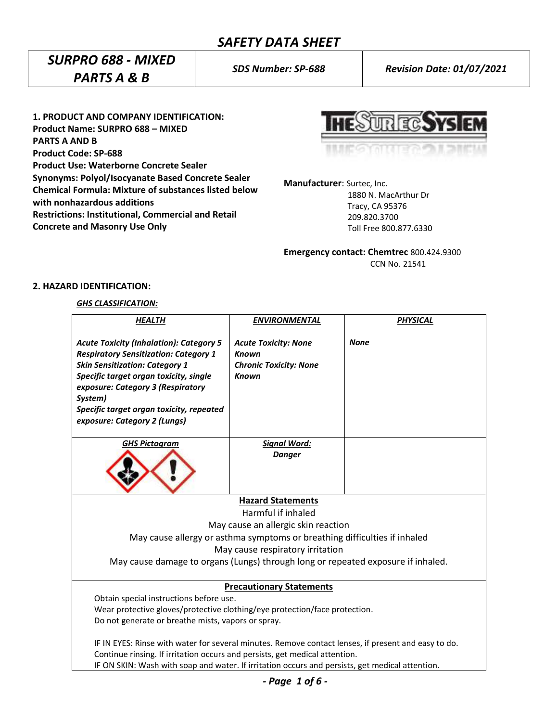# *SURPRO 688 - MIXED PARTS A & B*

*SDS Number: SP-688 Revision Date: 01/07/2021*

**1. PRODUCT AND COMPANY IDENTIFICATION: Product Name: SURPRO 688 – MIXED PARTS A AND B Product Code: SP-688 Product Use: Waterborne Concrete Sealer Synonyms: Polyol/Isocyanate Based Concrete Sealer Chemical Formula: Mixture of substances listed below with nonhazardous additions Restrictions: Institutional, Commercial and Retail Concrete and Masonry Use Only**

ur ta

**Manufacturer**: Surtec, Inc.

 1880 N. MacArthur Dr Tracy, CA 95376 209.820.3700 Toll Free 800.877.6330

**Emergency contact: Chemtrec** 800.424.9300 CCN No. 21541

# **2. HAZARD IDENTIFICATION:**

# *GHS CLASSIFICATION:*

| <b>HEALTH</b>                                                                                                                                                                                                                                                                                                 | <b>ENVIRONMENTAL</b>                                                                         | <b>PHYSICAL</b> |  |  |  |
|---------------------------------------------------------------------------------------------------------------------------------------------------------------------------------------------------------------------------------------------------------------------------------------------------------------|----------------------------------------------------------------------------------------------|-----------------|--|--|--|
| <b>Acute Toxicity (Inhalation): Category 5</b><br><b>Respiratory Sensitization: Category 1</b><br><b>Skin Sensitization: Category 1</b><br>Specific target organ toxicity, single<br>exposure: Category 3 (Respiratory<br>System)<br>Specific target organ toxicity, repeated<br>exposure: Category 2 (Lungs) | <b>Acute Toxicity: None</b><br><b>Known</b><br><b>Chronic Toxicity: None</b><br><b>Known</b> | <b>None</b>     |  |  |  |
| <b>GHS Pictogram</b>                                                                                                                                                                                                                                                                                          | <b>Signal Word:</b>                                                                          |                 |  |  |  |
|                                                                                                                                                                                                                                                                                                               | <b>Danger</b>                                                                                |                 |  |  |  |
|                                                                                                                                                                                                                                                                                                               | <b>Hazard Statements</b>                                                                     |                 |  |  |  |
|                                                                                                                                                                                                                                                                                                               | Harmful if inhaled                                                                           |                 |  |  |  |
| May cause an allergic skin reaction                                                                                                                                                                                                                                                                           |                                                                                              |                 |  |  |  |
| May cause allergy or asthma symptoms or breathing difficulties if inhaled                                                                                                                                                                                                                                     |                                                                                              |                 |  |  |  |
| May cause respiratory irritation                                                                                                                                                                                                                                                                              |                                                                                              |                 |  |  |  |
| May cause damage to organs (Lungs) through long or repeated exposure if inhaled.                                                                                                                                                                                                                              |                                                                                              |                 |  |  |  |
| <b>Precautionary Statements</b>                                                                                                                                                                                                                                                                               |                                                                                              |                 |  |  |  |
| Obtain special instructions before use.                                                                                                                                                                                                                                                                       |                                                                                              |                 |  |  |  |
| Wear protective gloves/protective clothing/eye protection/face protection.                                                                                                                                                                                                                                    |                                                                                              |                 |  |  |  |
| Do not generate or breathe mists, vapors or spray.                                                                                                                                                                                                                                                            |                                                                                              |                 |  |  |  |
| IF IN EYES: Rinse with water for several minutes. Remove contact lenses, if present and easy to do.                                                                                                                                                                                                           |                                                                                              |                 |  |  |  |
| Continue rinsing. If irritation occurs and persists, get medical attention.                                                                                                                                                                                                                                   |                                                                                              |                 |  |  |  |
| IF ON SKIN: Wash with soap and water. If irritation occurs and persists, get medical attention.                                                                                                                                                                                                               |                                                                                              |                 |  |  |  |

*- Page 1 of 6 -*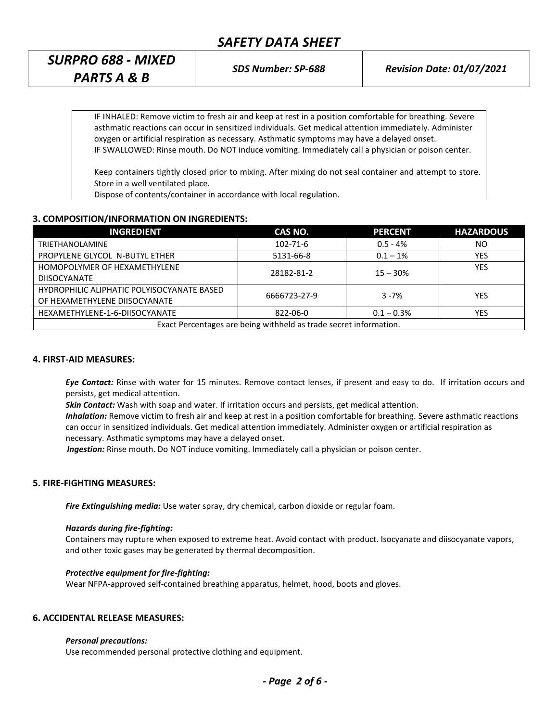*SURPRO 688 - MIXED PARTS A & B*

IF INHALED: Remove victim to fresh air and keep at rest in a position comfortable for breathing. Severe asthmatic reactions can occur in sensitized individuals. Get medical attention immediately. Administer oxygen or artificial respiration as necessary. Asthmatic symptoms may have a delayed onset. IF SWALLOWED: Rinse mouth. Do NOT induce vomiting. Immediately call a physician or poison center.

Keep containers tightly closed prior to mixing. After mixing do not seal container and attempt to store. Store in a well ventilated place.

Dispose of contents/container in accordance with local regulation.

# **3. COMPOSITION/INFORMATION ON INGREDIENTS:**

| <b>INGREDIENT</b>                                                 | CAS NO.        | <b>PERCENT</b> | <b>HAZARDOUS</b> |  |  |
|-------------------------------------------------------------------|----------------|----------------|------------------|--|--|
| <b>TRIETHANOLAMINE</b>                                            | $102 - 71 - 6$ | $0.5 - 4%$     | NO               |  |  |
| PROPYLENE GLYCOL N-BUTYL ETHER                                    | 5131-66-8      | $0.1 - 1\%$    | YES              |  |  |
| HOMOPOLYMER OF HEXAMETHYLENE                                      | 28182-81-2     | $15 - 30%$     | <b>YES</b>       |  |  |
| <b>DIISOCYANATE</b>                                               |                |                |                  |  |  |
| HYDROPHILIC ALIPHATIC POLYISOCYANATE BASED                        | 6666723-27-9   | $3 - 7%$       | YES              |  |  |
| OF HEXAMETHYLENE DIISOCYANATE                                     |                |                |                  |  |  |
| HEXAMETHYLENE-1-6-DIISOCYANATE                                    | 822-06-0       | $0.1 - 0.3\%$  | <b>YES</b>       |  |  |
| Exact Percentages are being withheld as trade secret information. |                |                |                  |  |  |

### **4. FIRST-AID MEASURES:**

*Eye Contact:* Rinse with water for 15 minutes. Remove contact lenses, if present and easy to do. If irritation occurs and persists, get medical attention.

*Skin Contact:* Wash with soap and water. If irritation occurs and persists, get medical attention.

*Inhalation:* Remove victim to fresh air and keep at rest in a position comfortable for breathing. Severe asthmatic reactions can occur in sensitized individuals. Get medical attention immediately. Administer oxygen or artificial respiration as necessary. Asthmatic symptoms may have a delayed onset.

 *Ingestion:* Rinse mouth. Do NOT induce vomiting. Immediately call a physician or poison center.

### **5. FIRE-FIGHTING MEASURES:**

*Fire Extinguishing media:* Use water spray, dry chemical, carbon dioxide or regular foam.

#### *Hazards during fire-fighting:*

Containers may rupture when exposed to extreme heat. Avoid contact with product. Isocyanate and diisocyanate vapors, and other toxic gases may be generated by thermal decomposition.

#### *Protective equipment for fire-fighting:*

Wear NFPA-approved self-contained breathing apparatus, helmet, hood, boots and gloves.

# **6. ACCIDENTAL RELEASE MEASURES:**

#### *Personal precautions:*

Use recommended personal protective clothing and equipment.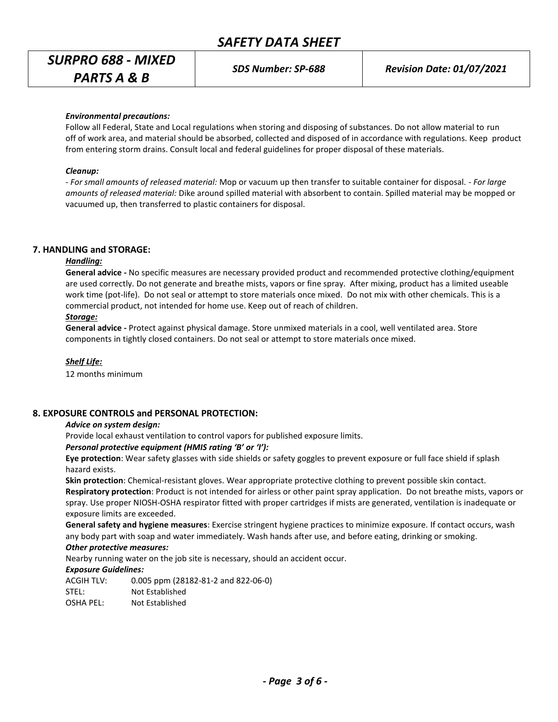# *SURPRO 688 - MIXED PARTS A & B*

*SDS Number: SP-688 Revision Date: 01/07/2021*

#### *Environmental precautions:*

Follow all Federal, State and Local regulations when storing and disposing of substances. Do not allow material to run off of work area, and material should be absorbed, collected and disposed of in accordance with regulations. Keep product from entering storm drains. Consult local and federal guidelines for proper disposal of these materials.

#### *Cleanup:*

*- For small amounts of released material:* Mop or vacuum up then transfer to suitable container for disposal. - *For large amounts of released material:* Dike around spilled material with absorbent to contain. Spilled material may be mopped or vacuumed up, then transferred to plastic containers for disposal.

#### **7. HANDLING and STORAGE:**

### *Handling:*

**General advice -** No specific measures are necessary provided product and recommended protective clothing/equipment are used correctly. Do not generate and breathe mists, vapors or fine spray. After mixing, product has a limited useable work time (pot-life). Do not seal or attempt to store materials once mixed. Do not mix with other chemicals. This is a commercial product, not intended for home use. Keep out of reach of children.

#### *Storage:*

**General advice -** Protect against physical damage. Store unmixed materials in a cool, well ventilated area. Store components in tightly closed containers. Do not seal or attempt to store materials once mixed.

#### *Shelf Life:*

12 months minimum

#### **8. EXPOSURE CONTROLS and PERSONAL PROTECTION:**

#### *Advice on system design:*

Provide local exhaust ventilation to control vapors for published exposure limits.

#### *Personal protective equipment (HMIS rating 'B' or 'I'):*

**Eye protection**: Wear safety glasses with side shields or safety goggles to prevent exposure or full face shield if splash hazard exists.

**Skin protection**: Chemical-resistant gloves. Wear appropriate protective clothing to prevent possible skin contact. **Respiratory protection**: Product is not intended for airless or other paint spray application. Do not breathe mists, vapors or spray. Use proper NIOSH-OSHA respirator fitted with proper cartridges if mists are generated, ventilation is inadequate or exposure limits are exceeded.

**General safety and hygiene measures**: Exercise stringent hygiene practices to minimize exposure. If contact occurs, wash any body part with soap and water immediately. Wash hands after use, and before eating, drinking or smoking.

# *Other protective measures:*

Nearby running water on the job site is necessary, should an accident occur.

#### *Exposure Guidelines:*

ACGIH TLV: 0.005 ppm (28182-81-2 and 822-06-0) STEL: Not Established OSHA PEL: Not Established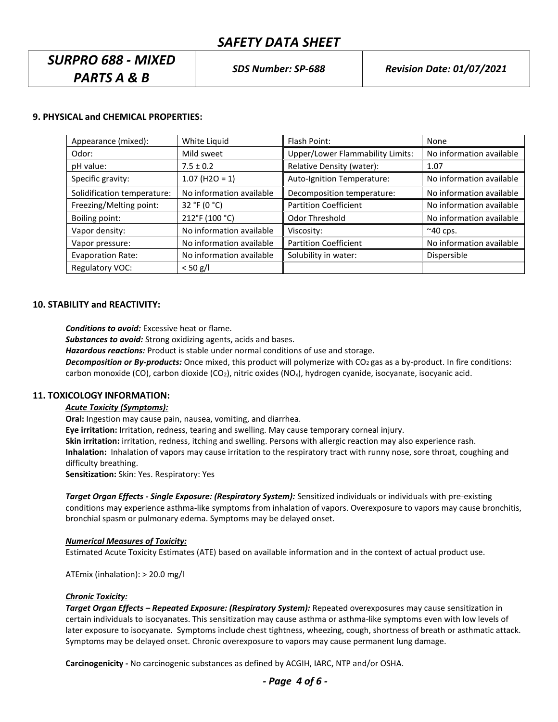# *SURPRO 688 - MIXED PARTS A & B*

# **9. PHYSICAL and CHEMICAL PROPERTIES:**

| Appearance (mixed):         | White Liquid             | Flash Point:                            | None                     |
|-----------------------------|--------------------------|-----------------------------------------|--------------------------|
| Odor:                       | Mild sweet               | <b>Upper/Lower Flammability Limits:</b> | No information available |
| pH value:                   | $7.5 \pm 0.2$            | Relative Density (water):               | 1.07                     |
| Specific gravity:           | $1.07$ (H2O = 1)         | Auto-Ignition Temperature:              | No information available |
| Solidification temperature: | No information available | Decomposition temperature:              | No information available |
| Freezing/Melting point:     | 32 °F (0 °C)             | <b>Partition Coefficient</b>            | No information available |
| Boiling point:              | 212°F (100 °C)           | Odor Threshold                          | No information available |
| Vapor density:              | No information available | Viscosity:                              | $~\sim$ 40 cps.          |
| Vapor pressure:             | No information available | <b>Partition Coefficient</b>            | No information available |
| <b>Evaporation Rate:</b>    | No information available | Solubility in water:                    | Dispersible              |
| Regulatory VOC:             | $< 50$ g/l               |                                         |                          |

### **10. STABILITY and REACTIVITY:**

*Conditions to avoid:* Excessive heat or flame.

*Substances to avoid:* Strong oxidizing agents, acids and bases.

*Hazardous reactions:* Product is stable under normal conditions of use and storage.

*Decomposition or By-products:* Once mixed, this product will polymerize with CO<sub>2</sub> gas as a by-product. In fire conditions: carbon monoxide (CO), carbon dioxide (CO<sub>2</sub>), nitric oxides (NO<sub>x</sub>), hydrogen cyanide, isocyanate, isocyanic acid.

### **11. TOXICOLOGY INFORMATION:**

#### *Acute Toxicity (Symptoms):*

**Oral:** Ingestion may cause pain, nausea, vomiting, and diarrhea.

**Eye irritation:** Irritation, redness, tearing and swelling. May cause temporary corneal injury.

**Skin irritation:** irritation, redness, itching and swelling. Persons with allergic reaction may also experience rash.

**Inhalation:** Inhalation of vapors may cause irritation to the respiratory tract with runny nose, sore throat, coughing and difficulty breathing.

**Sensitization:** Skin: Yes. Respiratory: Yes

*Target Organ Effects - Single Exposure: (Respiratory System):* Sensitized individuals or individuals with pre-existing conditions may experience asthma-like symptoms from inhalation of vapors. Overexposure to vapors may cause bronchitis, bronchial spasm or pulmonary edema. Symptoms may be delayed onset.

# *Numerical Measures of Toxicity:*

Estimated Acute Toxicity Estimates (ATE) based on available information and in the context of actual product use.

ATEmix (inhalation): > 20.0 mg/l

#### *Chronic Toxicity:*

*Target Organ Effects – Repeated Exposure: (Respiratory System):* Repeated overexposures may cause sensitization in certain individuals to isocyanates. This sensitization may cause asthma or asthma-like symptoms even with low levels of later exposure to isocyanate. Symptoms include chest tightness, wheezing, cough, shortness of breath or asthmatic attack. Symptoms may be delayed onset. Chronic overexposure to vapors may cause permanent lung damage.

**Carcinogenicity -** No carcinogenic substances as defined by ACGIH, IARC, NTP and/or OSHA.

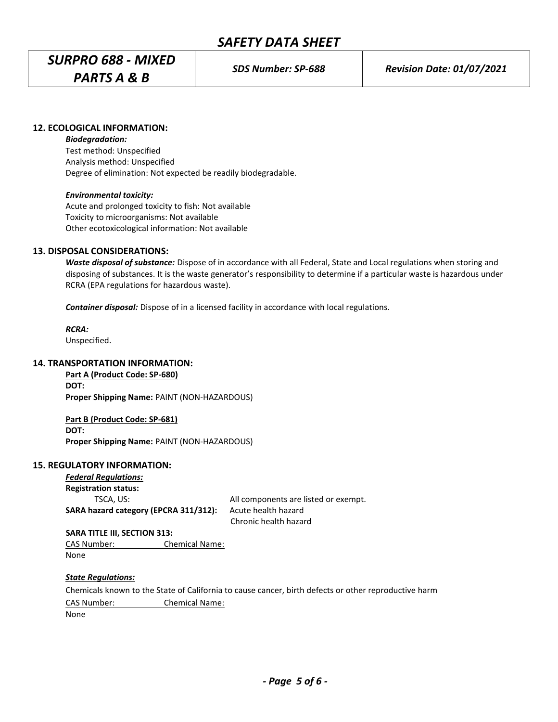# *SURPRO 688 - MIXED*

*PARTS A & B*

# **12. ECOLOGICAL INFORMATION:**

*Biodegradation:*

Test method: Unspecified Analysis method: Unspecified Degree of elimination: Not expected be readily biodegradable.

# *Environmental toxicity:*

Acute and prolonged toxicity to fish: Not available Toxicity to microorganisms: Not available Other ecotoxicological information: Not available

# **13. DISPOSAL CONSIDERATIONS:**

*Waste disposal of substance:* Dispose of in accordance with all Federal, State and Local regulations when storing and disposing of substances. It is the waste generator's responsibility to determine if a particular waste is hazardous under RCRA (EPA regulations for hazardous waste).

*Container disposal:* Dispose of in a licensed facility in accordance with local regulations.

*RCRA:* Unspecified.

# **14. TRANSPORTATION INFORMATION:**

**Part A (Product Code: SP-680) DOT: Proper Shipping Name:** PAINT (NON-HAZARDOUS)

**Part B (Product Code: SP-681) DOT: Proper Shipping Name:** PAINT (NON-HAZARDOUS)

### **15. REGULATORY INFORMATION:**

*Federal Regulations:* **Registration status: SARA hazard category (EPCRA 311/312):** Acute health hazard

TSCA, US: TSCA, US: TSCA, US: TSCA, US: TSCA, US: TSCA, US: TSCA, US: TSCA, US: TSCA, US: TSCA, US: TSCA, US: TSCA, US: TSCA, US: TSCA, US: TSCA, US: TSCA, US: TSCA, US: TSCA, US: TSCA, US: TSCA, US: TSCA, US: TSCA, US: TS Chronic health hazard

 **SARA TITLE III, SECTION 313:** CAS Number: Chemical Name: None

# *State Regulations:*

Chemicals known to the State of California to cause cancer, birth defects or other reproductive harm CAS Number: Chemical Name:

None